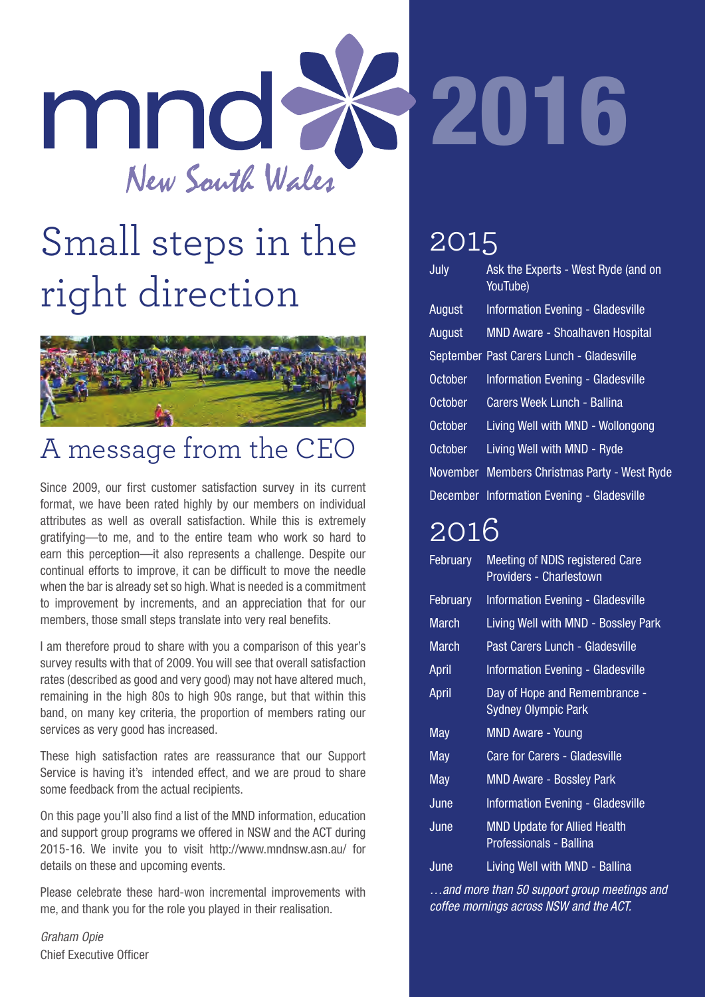

## Small steps in the right direction



#### A message from the CEO

Since 2009, our first customer satisfaction survey in its current format, we have been rated highly by our members on individual attributes as well as overall satisfaction. While this is extremely gratifying—to me, and to the entire team who work so hard to earn this perception—it also represents a challenge. Despite our continual efforts to improve, it can be difficult to move the needle when the bar is already set so high. What is needed is a commitment to improvement by increments, and an appreciation that for our members, those small steps translate into very real benefits.

I am therefore proud to share with you a comparison of this year's survey results with that of 2009. You will see that overall satisfaction rates (described as good and very good) may not have altered much, remaining in the high 80s to high 90s range, but that within this band, on many key criteria, the proportion of members rating our services as very good has increased.

These high satisfaction rates are reassurance that our Support Service is having it's intended effect, and we are proud to share some feedback from the actual recipients.

On this page you'll also find a list of the MND information, education and support group programs we offered in NSW and the ACT during 2015-16. We invite you to visit http://www.mndnsw.asn.au/ for details on these and upcoming events.

Please celebrate these hard-won incremental improvements with me, and thank you for the role you played in their realisation.

*Graham Opie* Chief Executive Officer

#### 2015

| July           | Ask the Experts - West Ryde (and on<br>YouTube) |
|----------------|-------------------------------------------------|
| August         | <b>Information Evening - Gladesville</b>        |
| August         | <b>MND Aware - Shoalhaven Hospital</b>          |
|                | September Past Carers Lunch - Gladesville       |
| <b>October</b> | <b>Information Evening - Gladesville</b>        |
| <b>October</b> | Carers Week Lunch - Ballina                     |
| October        | Living Well with MND - Wollongong               |
| <b>October</b> | Living Well with MND - Ryde                     |
| November       | <b>Members Christmas Party - West Ryde</b>      |
|                | December Information Evening - Gladesville      |

#### 2016

| February     | Meeting of NDIS registered Care<br><b>Providers - Charlestown</b> |
|--------------|-------------------------------------------------------------------|
| February     | <b>Information Evening - Gladesville</b>                          |
| <b>March</b> | Living Well with MND - Bossley Park                               |
| March        | Past Carers Lunch - Gladesville                                   |
| April        | Information Evening - Gladesville                                 |
| April        | Day of Hope and Remembrance -<br><b>Sydney Olympic Park</b>       |
| May          | MND Aware - Young                                                 |
| May          | <b>Care for Carers - Gladesville</b>                              |
| May          | <b>MND Aware - Bossley Park</b>                                   |
| June         | <b>Information Evening - Gladesville</b>                          |
| June         | <b>MND Update for Allied Health</b><br>Professionals - Ballina    |
| June         | Living Well with MND - Ballina                                    |

*…and more than 50 support group meetings and coffee mornings across NSW and the ACT.*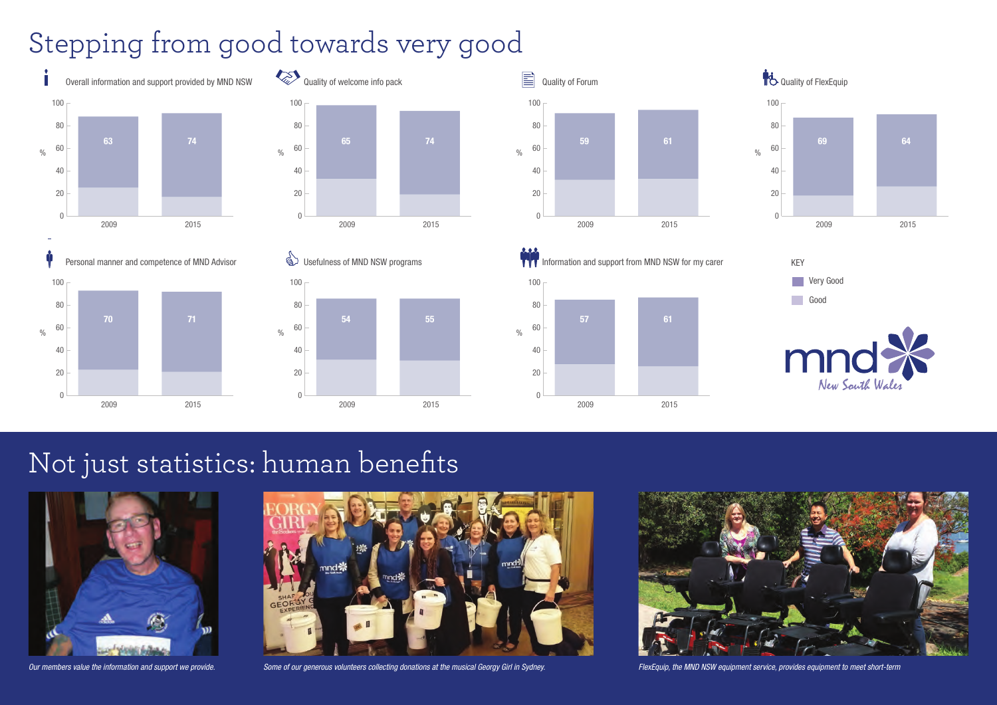### Stepping from good towards very good

### Not just statistics: human benefits





Our members value the information and support we provide. Some of our generous volunteers collecting donations at the musical Georgy Girl in Sydney. FlexEquip, the MND NSW equipment service, provides equipment to meet shor